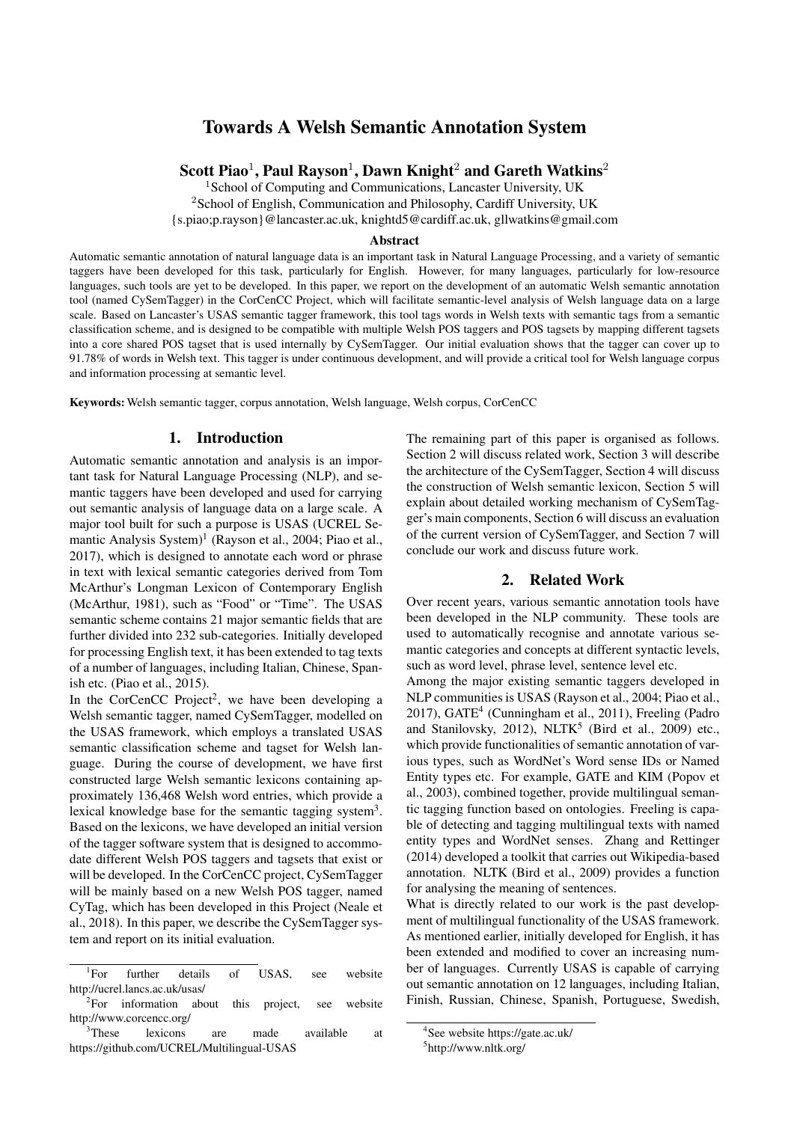# Towards A Welsh Semantic Annotation System

Scott Piao $^1$ , Paul Rayson $^1$ , Dawn Knight $^2$  and Gareth Watkins $^2$ 

<sup>1</sup> School of Computing and Communications, Lancaster University, UK <sup>2</sup>School of English, Communication and Philosophy, Cardiff University, UK {s.piao;p.rayson}@lancaster.ac.uk, knightd5@cardiff.ac.uk, gllwatkins@gmail.com

#### Abstract

Automatic semantic annotation of natural language data is an important task in Natural Language Processing, and a variety of semantic taggers have been developed for this task, particularly for English. However, for many languages, particularly for low-resource languages, such tools are yet to be developed. In this paper, we report on the development of an automatic Welsh semantic annotation tool (named CySemTagger) in the CorCenCC Project, which will facilitate semantic-level analysis of Welsh language data on a large scale. Based on Lancaster's USAS semantic tagger framework, this tool tags words in Welsh texts with semantic tags from a semantic classification scheme, and is designed to be compatible with multiple Welsh POS taggers and POS tagsets by mapping different tagsets into a core shared POS tagset that is used internally by CySemTagger. Our initial evaluation shows that the tagger can cover up to 91.78% of words in Welsh text. This tagger is under continuous development, and will provide a critical tool for Welsh language corpus and information processing at semantic level.

Keywords: Welsh semantic tagger, corpus annotation, Welsh language, Welsh corpus, CorCenCC

### 1. Introduction

Automatic semantic annotation and analysis is an important task for Natural Language Processing (NLP), and semantic taggers have been developed and used for carrying out semantic analysis of language data on a large scale. A major tool built for such a purpose is USAS (UCREL Semantic Analysis System)<sup>1</sup> (Rayson et al., 2004; Piao et al., 2017), which is designed to annotate each word or phrase in text with lexical semantic categories derived from Tom McArthur's Longman Lexicon of Contemporary English (McArthur, 1981), such as "Food" or "Time". The USAS semantic scheme contains 21 major semantic fields that are further divided into 232 sub-categories. Initially developed for processing English text, it has been extended to tag texts of a number of languages, including Italian, Chinese, Spanish etc. (Piao et al., 2015).

In the CorCenCC Project<sup>2</sup>, we have been developing a Welsh semantic tagger, named CySemTagger, modelled on the USAS framework, which employs a translated USAS semantic classification scheme and tagset for Welsh language. During the course of development, we have first constructed large Welsh semantic lexicons containing approximately 136,468 Welsh word entries, which provide a lexical knowledge base for the semantic tagging system<sup>3</sup>. Based on the lexicons, we have developed an initial version of the tagger software system that is designed to accommodate different Welsh POS taggers and tagsets that exist or will be developed. In the CorCenCC project, CySemTagger will be mainly based on a new Welsh POS tagger, named CyTag, which has been developed in this Project (Neale et al., 2018). In this paper, we describe the CySemTagger system and report on its initial evaluation.

The remaining part of this paper is organised as follows. Section 2 will discuss related work, Section 3 will describe the architecture of the CySemTagger, Section 4 will discuss the construction of Welsh semantic lexicon, Section 5 will explain about detailed working mechanism of CySemTagger's main components, Section 6 will discuss an evaluation of the current version of CySemTagger, and Section 7 will conclude our work and discuss future work.

# 2. Related Work

Over recent years, various semantic annotation tools have been developed in the NLP community. These tools are used to automatically recognise and annotate various semantic categories and concepts at different syntactic levels, such as word level, phrase level, sentence level etc.

Among the major existing semantic taggers developed in NLP communities is USAS (Rayson et al., 2004; Piao et al., 2017), GATE<sup>4</sup> (Cunningham et al., 2011), Freeling (Padro and Stanilovsky, 2012), NLTK<sup>5</sup> (Bird et al., 2009) etc., which provide functionalities of semantic annotation of various types, such as WordNet's Word sense IDs or Named Entity types etc. For example, GATE and KIM (Popov et al., 2003), combined together, provide multilingual semantic tagging function based on ontologies. Freeling is capable of detecting and tagging multilingual texts with named entity types and WordNet senses. Zhang and Rettinger (2014) developed a toolkit that carries out Wikipedia-based annotation. NLTK (Bird et al., 2009) provides a function for analysing the meaning of sentences.

What is directly related to our work is the past development of multilingual functionality of the USAS framework. As mentioned earlier, initially developed for English, it has been extended and modified to cover an increasing number of languages. Currently USAS is capable of carrying out semantic annotation on 12 languages, including Italian, Finish, Russian, Chinese, Spanish, Portuguese, Swedish,

 ${}^{1}$ For For further details of USAS, see website http://ucrel.lancs.ac.uk/usas/

 ${}^{2}$ For information about this project, see website http://www.corcencc.org/

<sup>&</sup>lt;sup>3</sup>These lexicons are made available at https://github.com/UCREL/Multilingual-USAS

<sup>4</sup> See website https://gate.ac.uk/

<sup>5</sup> http://www.nltk.org/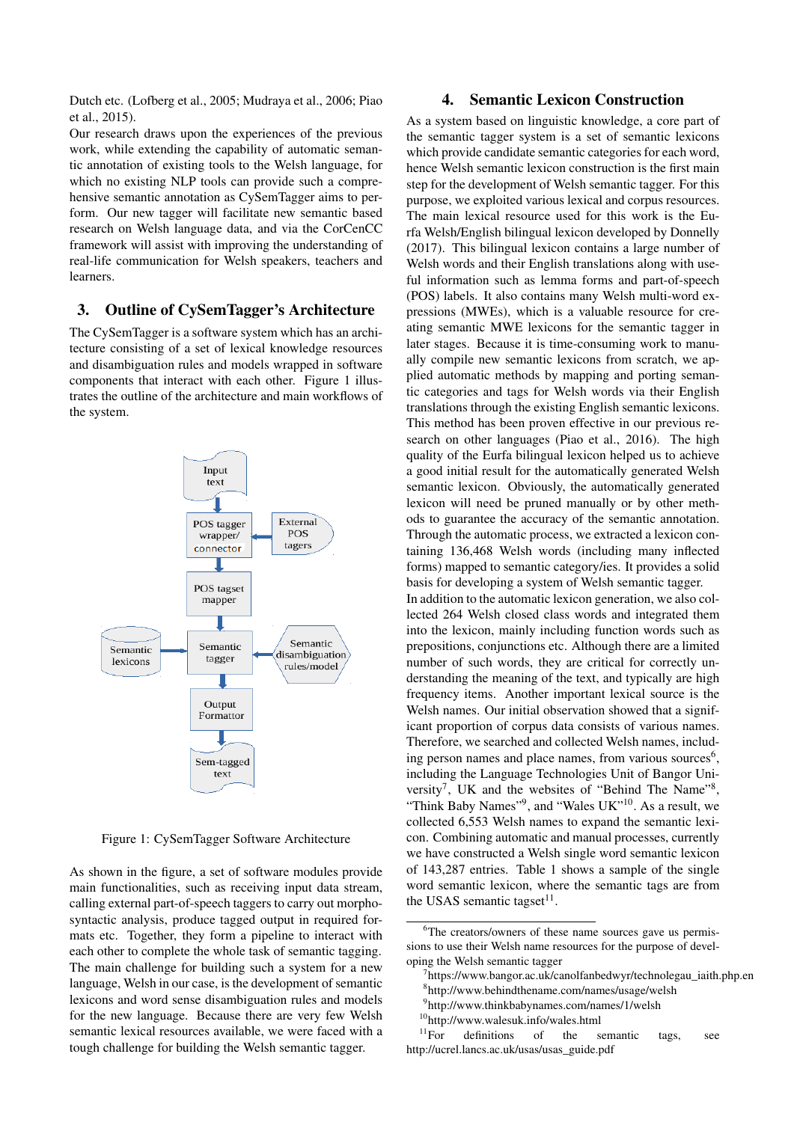Dutch etc. (Lofberg et al., 2005; Mudraya et al., 2006; Piao et al., 2015).

Our research draws upon the experiences of the previous work, while extending the capability of automatic semantic annotation of existing tools to the Welsh language, for which no existing NLP tools can provide such a comprehensive semantic annotation as CySemTagger aims to perform. Our new tagger will facilitate new semantic based research on Welsh language data, and via the CorCenCC framework will assist with improving the understanding of real-life communication for Welsh speakers, teachers and learners.

#### 3. Outline of CySemTagger's Architecture

The CySemTagger is a software system which has an architecture consisting of a set of lexical knowledge resources and disambiguation rules and models wrapped in software components that interact with each other. Figure 1 illustrates the outline of the architecture and main workflows of the system.



Figure 1: CySemTagger Software Architecture

As shown in the figure, a set of software modules provide main functionalities, such as receiving input data stream, calling external part-of-speech taggers to carry out morphosyntactic analysis, produce tagged output in required formats etc. Together, they form a pipeline to interact with each other to complete the whole task of semantic tagging. The main challenge for building such a system for a new language, Welsh in our case, is the development of semantic lexicons and word sense disambiguation rules and models for the new language. Because there are very few Welsh semantic lexical resources available, we were faced with a tough challenge for building the Welsh semantic tagger.

## 4. Semantic Lexicon Construction

As a system based on linguistic knowledge, a core part of the semantic tagger system is a set of semantic lexicons which provide candidate semantic categories for each word, hence Welsh semantic lexicon construction is the first main step for the development of Welsh semantic tagger. For this purpose, we exploited various lexical and corpus resources. The main lexical resource used for this work is the Eurfa Welsh/English bilingual lexicon developed by Donnelly (2017). This bilingual lexicon contains a large number of Welsh words and their English translations along with useful information such as lemma forms and part-of-speech (POS) labels. It also contains many Welsh multi-word expressions (MWEs), which is a valuable resource for creating semantic MWE lexicons for the semantic tagger in later stages. Because it is time-consuming work to manually compile new semantic lexicons from scratch, we applied automatic methods by mapping and porting semantic categories and tags for Welsh words via their English translations through the existing English semantic lexicons. This method has been proven effective in our previous research on other languages (Piao et al., 2016). The high quality of the Eurfa bilingual lexicon helped us to achieve a good initial result for the automatically generated Welsh semantic lexicon. Obviously, the automatically generated lexicon will need be pruned manually or by other methods to guarantee the accuracy of the semantic annotation. Through the automatic process, we extracted a lexicon containing 136,468 Welsh words (including many inflected forms) mapped to semantic category/ies. It provides a solid basis for developing a system of Welsh semantic tagger. In addition to the automatic lexicon generation, we also collected 264 Welsh closed class words and integrated them into the lexicon, mainly including function words such as prepositions, conjunctions etc. Although there are a limited number of such words, they are critical for correctly understanding the meaning of the text, and typically are high frequency items. Another important lexical source is the Welsh names. Our initial observation showed that a significant proportion of corpus data consists of various names. Therefore, we searched and collected Welsh names, including person names and place names, from various sources $6$ , including the Language Technologies Unit of Bangor University<sup>7</sup>, UK and the websites of "Behind The Name"<sup>8</sup>, "Think Baby Names"<sup>9</sup>, and "Wales UK"<sup>10</sup>. As a result, we collected 6,553 Welsh names to expand the semantic lexicon. Combining automatic and manual processes, currently we have constructed a Welsh single word semantic lexicon of 143,287 entries. Table 1 shows a sample of the single word semantic lexicon, where the semantic tags are from

the USAS semantic tagset $11$ .

<sup>&</sup>lt;sup>6</sup>The creators/owners of these name sources gave us permissions to use their Welsh name resources for the purpose of developing the Welsh semantic tagger

<sup>7</sup> https://www.bangor.ac.uk/canolfanbedwyr/technolegau\_iaith.php.en

<sup>8</sup> http://www.behindthename.com/names/usage/welsh 9 http://www.thinkbabynames.com/names/1/welsh

 $^{10}$ http://www.walesuk.info/wales.html<br> $^{11}$ For definitions of the s definitions of the semantic tags, see http://ucrel.lancs.ac.uk/usas/usas\_guide.pdf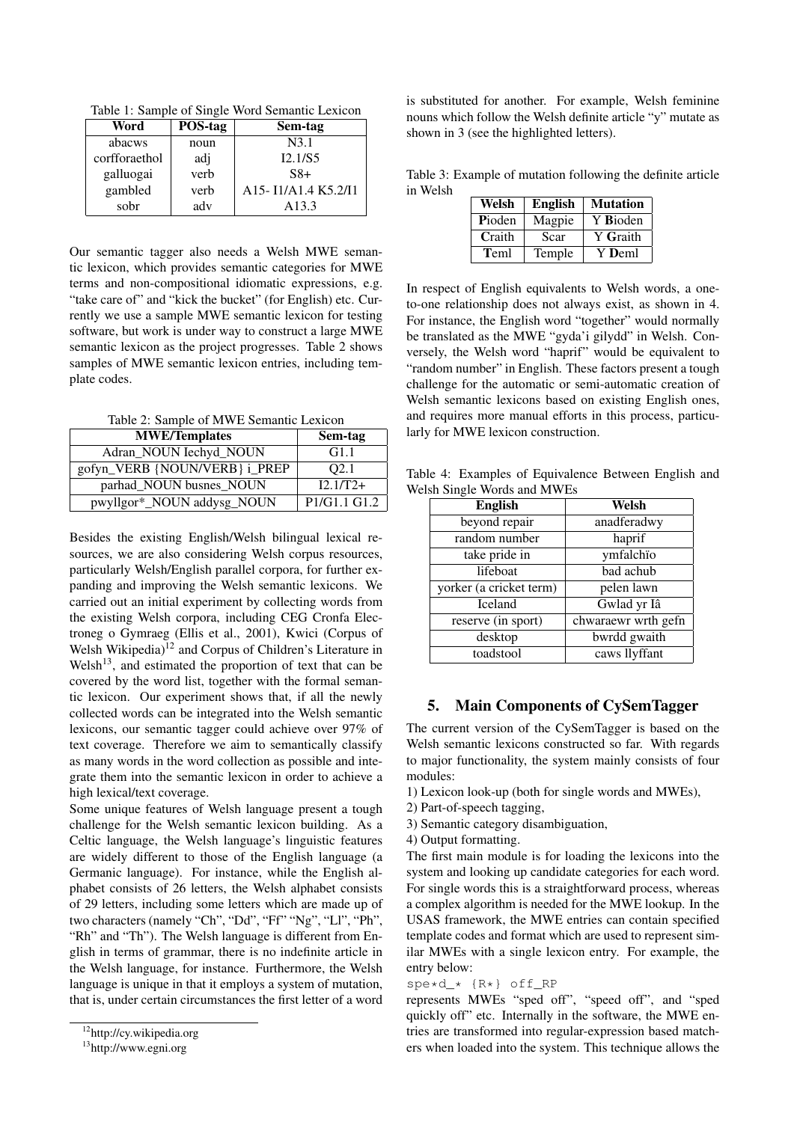Table 1: Sample of Single Word Semantic Lexicon

| Word          | POS-tag | Sem-tag                                                                            |
|---------------|---------|------------------------------------------------------------------------------------|
| abacws        | noun    | N3.1                                                                               |
| corfforaethol | adj     | I2.1/S5                                                                            |
| galluogai     | verb    | $S8+$                                                                              |
| gambled       | verb    | A <sub>15</sub> -I <sub>1</sub> /A <sub>1.4</sub> K <sub>5.2</sub> /I <sub>1</sub> |
| sobr          | adv     | A <sub>13.3</sub>                                                                  |

Our semantic tagger also needs a Welsh MWE semantic lexicon, which provides semantic categories for MWE terms and non-compositional idiomatic expressions, e.g. "take care of" and "kick the bucket" (for English) etc. Currently we use a sample MWE semantic lexicon for testing software, but work is under way to construct a large MWE semantic lexicon as the project progresses. Table 2 shows samples of MWE semantic lexicon entries, including template codes.

Table 2: Sample of MWE Semantic Lexicon

| <b>MWE/Templates</b>          | Sem-tag          |
|-------------------------------|------------------|
| Adran_NOUN Iechyd_NOUN        | G1.1             |
| gofyn_VERB {NOUN/VERB} i_PREP | O <sub>2.1</sub> |
| parhad_NOUN busnes_NOUN       | $I2.1/T2+$       |
| pwyllgor*_NOUN addysg_NOUN    | P1/G1.1 G1.2     |

Besides the existing English/Welsh bilingual lexical resources, we are also considering Welsh corpus resources, particularly Welsh/English parallel corpora, for further expanding and improving the Welsh semantic lexicons. We carried out an initial experiment by collecting words from the existing Welsh corpora, including CEG Cronfa Electroneg o Gymraeg (Ellis et al., 2001), Kwici (Corpus of Welsh Wikipedia)<sup>12</sup> and Corpus of Children's Literature in Welsh<sup>13</sup>, and estimated the proportion of text that can be covered by the word list, together with the formal semantic lexicon. Our experiment shows that, if all the newly collected words can be integrated into the Welsh semantic lexicons, our semantic tagger could achieve over 97% of text coverage. Therefore we aim to semantically classify as many words in the word collection as possible and integrate them into the semantic lexicon in order to achieve a high lexical/text coverage.

Some unique features of Welsh language present a tough challenge for the Welsh semantic lexicon building. As a Celtic language, the Welsh language's linguistic features are widely different to those of the English language (a Germanic language). For instance, while the English alphabet consists of 26 letters, the Welsh alphabet consists of 29 letters, including some letters which are made up of two characters (namely "Ch", "Dd", "Ff" "Ng", "Ll", "Ph", "Rh" and "Th"). The Welsh language is different from English in terms of grammar, there is no indefinite article in the Welsh language, for instance. Furthermore, the Welsh language is unique in that it employs a system of mutation, that is, under certain circumstances the first letter of a word is substituted for another. For example, Welsh feminine nouns which follow the Welsh definite article "y" mutate as shown in 3 (see the highlighted letters).

Table 3: Example of mutation following the definite article in Welsh

| Welsh  | <b>English</b> | <b>Mutation</b> |
|--------|----------------|-----------------|
| Pioden | Magpie         | Y Bioden        |
| Craith | Scar           | Y Graith        |
| Teml   | Temple         | Y Deml          |

In respect of English equivalents to Welsh words, a oneto-one relationship does not always exist, as shown in 4. For instance, the English word "together" would normally be translated as the MWE "gyda'i gilydd" in Welsh. Conversely, the Welsh word "haprif" would be equivalent to "random number" in English. These factors present a tough challenge for the automatic or semi-automatic creation of Welsh semantic lexicons based on existing English ones, and requires more manual efforts in this process, particularly for MWE lexicon construction.

Table 4: Examples of Equivalence Between English and Welsh Single Words and MWEs

| <b>English</b>          | Welsh               |  |
|-------------------------|---------------------|--|
| beyond repair           | anadferadwy         |  |
| random number           | haprif              |  |
| take pride in           | ymfalchïo           |  |
| lifeboat                | bad achub           |  |
| yorker (a cricket term) | pelen lawn          |  |
| <b>Iceland</b>          | Gwlad yr Iâ         |  |
| reserve (in sport)      | chwaraewr wrth gefn |  |
| desktop                 | bwrdd gwaith        |  |
| toadstool               | caws llyffant       |  |

## 5. Main Components of CySemTagger

The current version of the CySemTagger is based on the Welsh semantic lexicons constructed so far. With regards to major functionality, the system mainly consists of four modules:

- 1) Lexicon look-up (both for single words and MWEs),
- 2) Part-of-speech tagging,
- 3) Semantic category disambiguation,
- 4) Output formatting.

The first main module is for loading the lexicons into the system and looking up candidate categories for each word. For single words this is a straightforward process, whereas a complex algorithm is needed for the MWE lookup. In the USAS framework, the MWE entries can contain specified template codes and format which are used to represent similar MWEs with a single lexicon entry. For example, the entry below:

#### spe\*d\_\* {R\*} off\_RP

represents MWEs "sped off", "speed off", and "sped quickly off" etc. Internally in the software, the MWE entries are transformed into regular-expression based matchers when loaded into the system. This technique allows the

<sup>12</sup>http://cy.wikipedia.org

<sup>13</sup>http://www.egni.org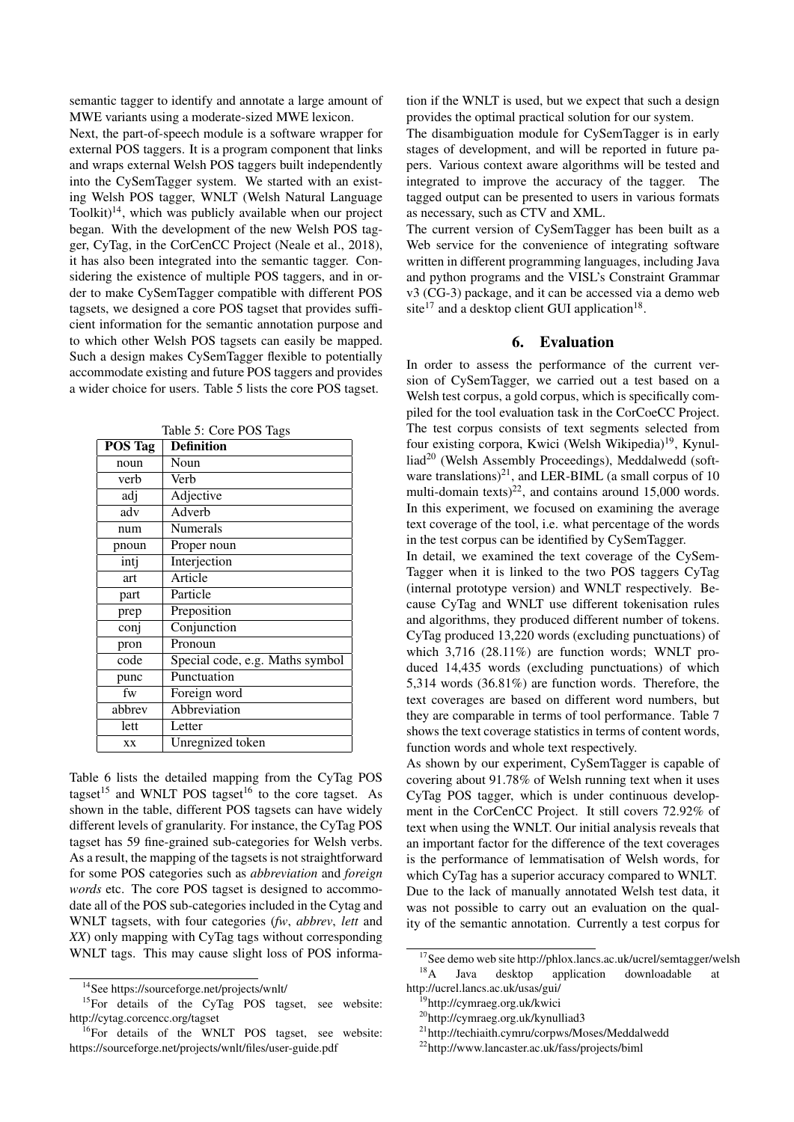semantic tagger to identify and annotate a large amount of MWE variants using a moderate-sized MWE lexicon.

Next, the part-of-speech module is a software wrapper for external POS taggers. It is a program component that links and wraps external Welsh POS taggers built independently into the CySemTagger system. We started with an existing Welsh POS tagger, WNLT (Welsh Natural Language Toolkit) $14$ , which was publicly available when our project began. With the development of the new Welsh POS tagger, CyTag, in the CorCenCC Project (Neale et al., 2018), it has also been integrated into the semantic tagger. Considering the existence of multiple POS taggers, and in order to make CySemTagger compatible with different POS tagsets, we designed a core POS tagset that provides sufficient information for the semantic annotation purpose and to which other Welsh POS tagsets can easily be mapped. Such a design makes CySemTagger flexible to potentially accommodate existing and future POS taggers and provides a wider choice for users. Table 5 lists the core POS tagset.

| <b>POS Tag</b> | <b>Definition</b>               |
|----------------|---------------------------------|
| noun           | Noun                            |
| verb           | Verb                            |
| adj            | Adjective                       |
| adv            | Adverb                          |
| num            | <b>Numerals</b>                 |
| pnoun          | Proper noun                     |
| intj           | Interjection                    |
| art            | Article                         |
| part           | Particle                        |
| prep           | Preposition                     |
| conj           | Conjunction                     |
| pron           | Pronoun                         |
| code           | Special code, e.g. Maths symbol |
| punc           | Punctuation                     |
| fw             | Foreign word                    |
| abbrev         | Abbreviation                    |
| lett           | Letter                          |
| XX             | Unregnized token                |

Table 5: Core POS Tags

Table 6 lists the detailed mapping from the CyTag POS tagset<sup>15</sup> and WNLT POS tagset<sup>16</sup> to the core tagset. As shown in the table, different POS tagsets can have widely different levels of granularity. For instance, the CyTag POS tagset has 59 fine-grained sub-categories for Welsh verbs. As a result, the mapping of the tagsets is not straightforward for some POS categories such as *abbreviation* and *foreign words* etc. The core POS tagset is designed to accommodate all of the POS sub-categories included in the Cytag and WNLT tagsets, with four categories (*fw*, *abbrev*, *lett* and *XX*) only mapping with CyTag tags without corresponding WNLT tags. This may cause slight loss of POS information if the WNLT is used, but we expect that such a design provides the optimal practical solution for our system.

The disambiguation module for CySemTagger is in early stages of development, and will be reported in future papers. Various context aware algorithms will be tested and integrated to improve the accuracy of the tagger. The tagged output can be presented to users in various formats as necessary, such as CTV and XML.

The current version of CySemTagger has been built as a Web service for the convenience of integrating software written in different programming languages, including Java and python programs and the VISL's Constraint Grammar v3 (CG-3) package, and it can be accessed via a demo web site<sup>17</sup> and a desktop client GUI application<sup>18</sup>.

# 6. Evaluation

In order to assess the performance of the current version of CySemTagger, we carried out a test based on a Welsh test corpus, a gold corpus, which is specifically compiled for the tool evaluation task in the CorCoeCC Project. The test corpus consists of text segments selected from four existing corpora, Kwici (Welsh Wikipedia)<sup>19</sup>, Kynulliad<sup>20</sup> (Welsh Assembly Proceedings), Meddalwedd (software translations)<sup>21</sup>, and LER-BIML (a small corpus of 10 multi-domain texts)<sup>22</sup>, and contains around 15,000 words. In this experiment, we focused on examining the average text coverage of the tool, i.e. what percentage of the words in the test corpus can be identified by CySemTagger.

In detail, we examined the text coverage of the CySem-Tagger when it is linked to the two POS taggers CyTag (internal prototype version) and WNLT respectively. Because CyTag and WNLT use different tokenisation rules and algorithms, they produced different number of tokens. CyTag produced 13,220 words (excluding punctuations) of which 3,716 (28.11%) are function words; WNLT produced 14,435 words (excluding punctuations) of which 5,314 words (36.81%) are function words. Therefore, the text coverages are based on different word numbers, but they are comparable in terms of tool performance. Table 7 shows the text coverage statistics in terms of content words, function words and whole text respectively.

As shown by our experiment, CySemTagger is capable of covering about 91.78% of Welsh running text when it uses CyTag POS tagger, which is under continuous development in the CorCenCC Project. It still covers 72.92% of text when using the WNLT. Our initial analysis reveals that an important factor for the difference of the text coverages is the performance of lemmatisation of Welsh words, for which CyTag has a superior accuracy compared to WNLT. Due to the lack of manually annotated Welsh test data, it was not possible to carry out an evaluation on the quality of the semantic annotation. Currently a test corpus for

<sup>14</sup>See https://sourceforge.net/projects/wnlt/

<sup>&</sup>lt;sup>15</sup>For details of the CyTag POS tagset, see website: http://cytag.corcencc.org/tagset

<sup>&</sup>lt;sup>16</sup>For details of the WNLT POS tagset, see website: https://sourceforge.net/projects/wnlt/files/user-guide.pdf

<sup>&</sup>lt;sup>17</sup>See demo web site http://phlox.lancs.ac.uk/ucrel/semtagger/welsh<br><sup>18</sup>A Iava deskton application downloadable at Java desktop application downloadable at

http://ucrel.lancs.ac.uk/usas/gui/

<sup>19</sup>http://cymraeg.org.uk/kwici

<sup>20</sup>http://cymraeg.org.uk/kynulliad3

<sup>21</sup>http://techiaith.cymru/corpws/Moses/Meddalwedd

<sup>22</sup>http://www.lancaster.ac.uk/fass/projects/biml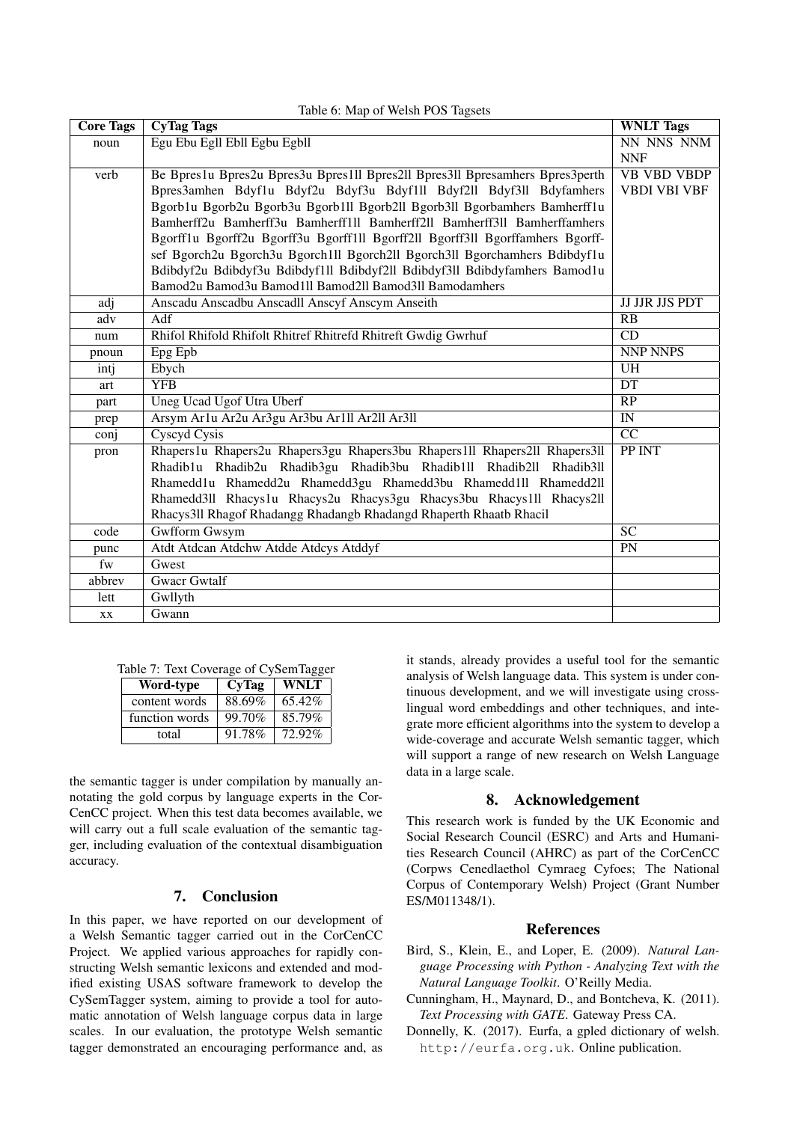| <b>Core Tags</b> | <b>CyTag Tags</b>                                                             | <b>WNLT</b> Tags       |
|------------------|-------------------------------------------------------------------------------|------------------------|
| noun             | Egu Ebu Egll Ebll Egbu Egbll                                                  | NN NNS NNM             |
|                  |                                                                               | <b>NNF</b>             |
| verb             | Be Bpres1u Bpres2u Bpres3u Bpres1ll Bpres2ll Bpres3ll Bpresamhers Bpres3perth | <b>VB VBD VBDP</b>     |
|                  | Bpres3amhen Bdyf1u Bdyf2u Bdyf3u Bdyf1ll Bdyf2ll Bdyf3ll Bdyfamhers           | <b>VBDI VBI VBF</b>    |
|                  | Bgorb1u Bgorb2u Bgorb3u Bgorb1ll Bgorb2ll Bgorb3ll Bgorbamhers Bamherff1u     |                        |
|                  | Bamherff2u Bamherff3u Bamherff1ll Bamherff2ll Bamherff3ll Bamherffamhers      |                        |
|                  | Bgorff1u Bgorff2u Bgorff3u Bgorff1ll Bgorff2ll Bgorff3ll Bgorffamhers Bgorff- |                        |
|                  | sef Bgorch2u Bgorch3u Bgorch1ll Bgorch2ll Bgorch3ll Bgorchamhers Bdibdyf1u    |                        |
|                  | Bdibdyf2u Bdibdyf3u Bdibdyf1ll Bdibdyf2ll Bdibdyf3ll Bdibdyfamhers Bamod1u    |                        |
|                  | Bamod2u Bamod3u Bamod1ll Bamod2ll Bamod3ll Bamodamhers                        |                        |
| adj              | Anscadu Anscadbu Anscadll Anscyf Anscym Anseith                               | <b>JJ JJR JJS PDT</b>  |
| adv              | Adf                                                                           | RB                     |
| num              | Rhifol Rhifold Rhifolt Rhitref Rhitrefd Rhitreft Gwdig Gwrhuf                 | $\overline{CD}$        |
| pnoun            | Epg Epb                                                                       | <b>NNP NNPS</b>        |
| intj             | Ebych                                                                         | <b>UH</b>              |
| art              | <b>YFB</b>                                                                    | DT                     |
| part             | Uneg Ucad Ugof Utra Uberf                                                     | $\overline{RP}$        |
| prep             | Arsym Ar1u Ar2u Ar3gu Ar3bu Ar1ll Ar2ll Ar3ll                                 | $\overline{\text{IN}}$ |
| conj             | <b>Cyscyd Cysis</b>                                                           | CC                     |
| pron             | Rhapers1u Rhapers2u Rhapers3gu Rhapers3bu Rhapers1ll Rhapers2ll Rhapers3ll    | PP INT                 |
|                  | Rhadib1u Rhadib2u Rhadib3gu Rhadib3bu Rhadib1ll Rhadib2ll Rhadib3ll           |                        |
|                  | Rhamedd1u Rhamedd2u Rhamedd3gu Rhamedd3bu Rhamedd1ll Rhamedd2ll               |                        |
|                  | Rhamedd3ll Rhacys1u Rhacys2u Rhacys3gu Rhacys3bu Rhacys1ll Rhacys2ll          |                        |
|                  | Rhacys3ll Rhagof Rhadangg Rhadangb Rhadangd Rhaperth Rhaatb Rhacil            |                        |
| code             | <b>Gwfform Gwsym</b>                                                          | $\overline{SC}$        |
| punc             | Atdt Atdcan Atdchw Atdde Atdcys Atddyf                                        | $\overline{PN}$        |
| fw               | Gwest                                                                         |                        |
| abbrev           | <b>Gwacr Gwtalf</b>                                                           |                        |
| lett             | Gwllyth                                                                       |                        |
| XX.              | Gwann                                                                         |                        |

# $T<sub>ab</sub>l<sub>ab</sub> \in M_{\text{max}}$  of Welsh POS  $T<sub>a</sub>$

|  | Table 7: Text Coverage of CySemTagger |  |  |
|--|---------------------------------------|--|--|
|  |                                       |  |  |

| Word-type      | CyTag  | WNLT   |
|----------------|--------|--------|
| content words  | 88.69% | 65.42% |
| function words | 99.70% | 85.79% |
| total          | 91.78% | 72.92% |

the semantic tagger is under compilation by manually annotating the gold corpus by language experts in the Cor-CenCC project. When this test data becomes available, we will carry out a full scale evaluation of the semantic tagger, including evaluation of the contextual disambiguation accuracy.

# 7. Conclusion

In this paper, we have reported on our development of a Welsh Semantic tagger carried out in the CorCenCC Project. We applied various approaches for rapidly constructing Welsh semantic lexicons and extended and modified existing USAS software framework to develop the CySemTagger system, aiming to provide a tool for automatic annotation of Welsh language corpus data in large scales. In our evaluation, the prototype Welsh semantic tagger demonstrated an encouraging performance and, as

it stands, already provides a useful tool for the semantic analysis of Welsh language data. This system is under continuous development, and we will investigate using crosslingual word embeddings and other techniques, and integrate more efficient algorithms into the system to develop a wide-coverage and accurate Welsh semantic tagger, which will support a range of new research on Welsh Language data in a large scale.

### 8. Acknowledgement

This research work is funded by the UK Economic and Social Research Council (ESRC) and Arts and Humanities Research Council (AHRC) as part of the CorCenCC (Corpws Cenedlaethol Cymraeg Cyfoes; The National Corpus of Contemporary Welsh) Project (Grant Number ES/M011348/1).

# References

- Bird, S., Klein, E., and Loper, E. (2009). *Natural Language Processing with Python - Analyzing Text with the Natural Language Toolkit*. O'Reilly Media.
- Cunningham, H., Maynard, D., and Bontcheva, K. (2011). *Text Processing with GATE*. Gateway Press CA.
- Donnelly, K. (2017). Eurfa, a gpled dictionary of welsh. http://eurfa.org.uk. Online publication.